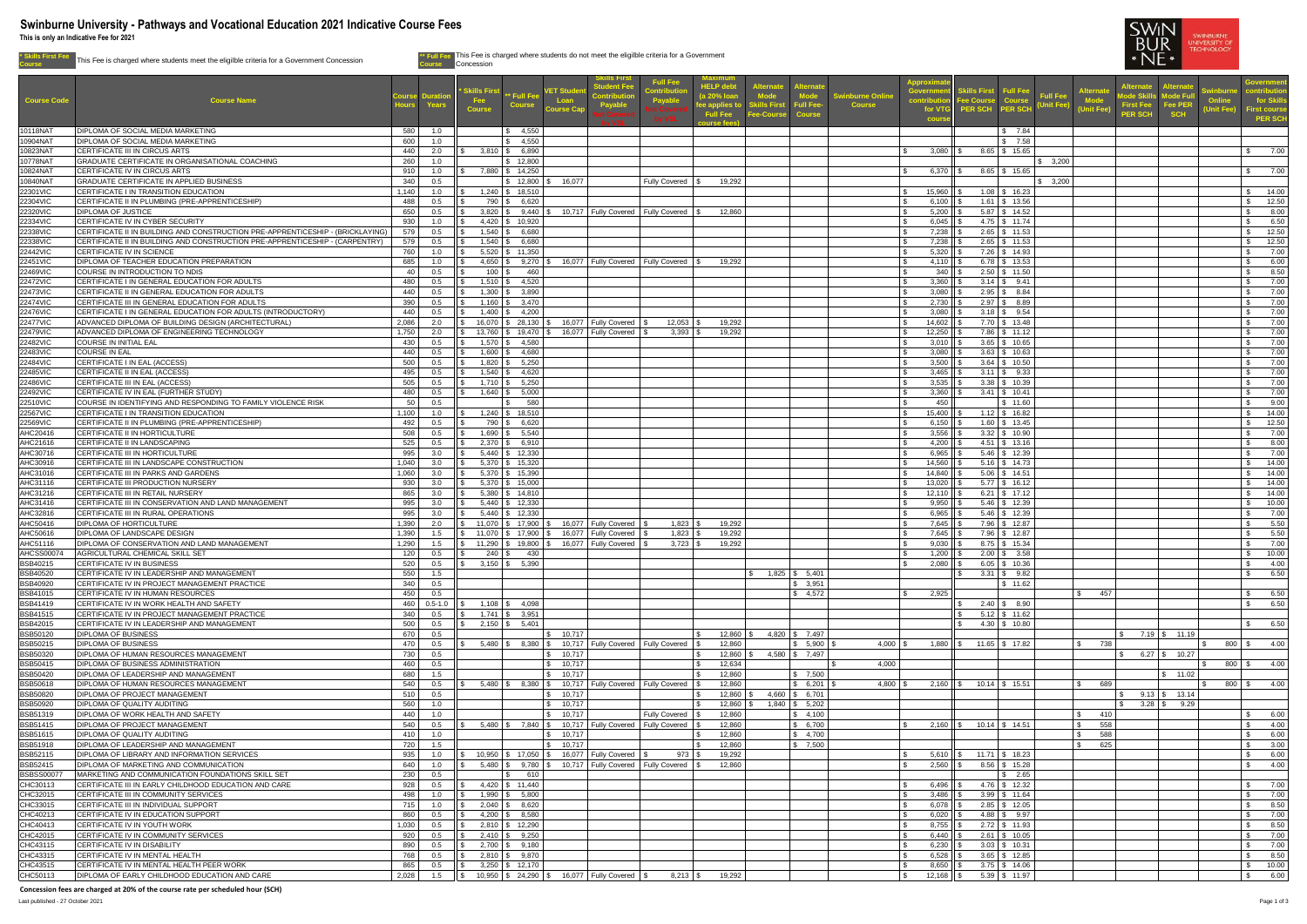**\* Skills First Fee Course** This Fee is charged where students meet the eligilble criteria for a Government Concession **\*\* Full Fee**



|                                      |                                                                                                                                                                |                |                    |                    |                                          |                                              | udent Fee                                                                | <b>Full Fee</b>              | <b>HELP deb</b>              | <b>Iternate</b>                    |                             |                        | <b>Approxi</b>                 |                                  |                                      |                                                  | ternate                            | ternat                         |          | <b>Sovernment</b>               |
|--------------------------------------|----------------------------------------------------------------------------------------------------------------------------------------------------------------|----------------|--------------------|--------------------|------------------------------------------|----------------------------------------------|--------------------------------------------------------------------------|------------------------------|------------------------------|------------------------------------|-----------------------------|------------------------|--------------------------------|----------------------------------|--------------------------------------|--------------------------------------------------|------------------------------------|--------------------------------|----------|---------------------------------|
| <b>Course Code</b>                   | <b>Course Name</b>                                                                                                                                             |                |                    | ikills Firs<br>Fee | * Full Fee                               | <b>ET Stud</b><br>Loan                       |                                                                          | <b>Contributi</b><br>Payable | (a 20% loar                  | <b>Node</b>                        | <b>Mode</b>                 | <b>Swinburne Onlin</b> | Governm<br>contribut           | <b>Skills First</b><br>Fee Cours | <b>Full Fee</b>                      | <b>Iternat</b><br><b>Full Fee</b><br><b>Mode</b> |                                    | <b><i><u>Node Full</u></i></b> | winbur   | for Skills                      |
|                                      |                                                                                                                                                                |                |                    | <b>Course</b>      | <b>Course</b>                            | <b>Course Cal</b>                            | Payable                                                                  |                              | ee applies                   | <b>Ills Firs</b><br><b>e-Cours</b> | Full Fee-<br><b>Course</b>  | <b>Course</b>          | for VT                         | <b>PER SCH</b>                   | <b>Course</b><br>PER SCH             | Unit Fee)<br><b>Jnit Fee</b>                     | <b>First Fee</b><br><b>PER SCH</b> | Fee PER<br><b>SCH</b>          | Jnit Fee | ïrst course                     |
|                                      |                                                                                                                                                                |                |                    |                    |                                          |                                              |                                                                          |                              | <b>Full Fee</b><br>aurse fee |                                    |                             |                        | <b>cours</b>                   |                                  |                                      |                                                  |                                    |                                |          | <b>PER SCH</b>                  |
| 10118NAT                             | <b>DIPLOMA OF SOCIAL MEDIA MARKETING</b>                                                                                                                       | 580            | 1.0                |                    | 4,550                                    |                                              |                                                                          |                              |                              |                                    |                             |                        |                                |                                  | \$7.84                               |                                                  |                                    |                                |          |                                 |
| 10904NA1<br>10823NA1                 | <b>DIPLOMA OF SOCIAL MEDIA MARKETING</b><br>CERTIFICATE III IN CIRCUS ARTS                                                                                     | 600<br>440     | 1.0<br>2.0         |                    | \$ 4,550<br>$3,810$ \ \$ 6,890           |                                              |                                                                          |                              |                              |                                    |                             |                        | 3,080                          |                                  | \$7.58<br>8.65 \$ 15.65              |                                                  |                                    |                                |          | 7.00                            |
| 10778NAT                             | GRADUATE CERTIFICATE IN ORGANISATIONAL COACHING                                                                                                                | 260            | 1.0                |                    | 12,800                                   |                                              |                                                                          |                              |                              |                                    |                             |                        |                                |                                  |                                      | $\frac{1}{3}$ 3,200                              |                                    |                                |          |                                 |
| 10824NA1                             | CERTIFICATE IV IN CIRCUS ARTS                                                                                                                                  | 910            | 1.0                |                    | 7,880 \$ 14,250                          |                                              |                                                                          |                              |                              |                                    |                             |                        | 6,370 $\parallel$ \$           |                                  | $8.65$ \$ 15.65                      |                                                  |                                    |                                |          | 7.00                            |
| 10840NAT                             | <b>GRADUATE CERTIFICATE IN APPLIED BUSINESS</b><br>CERTIFICATE I IN TRANSITION EDUCATION                                                                       | 340            | 0.5                |                    | $12,800$ \ \$                            | 16,077                                       |                                                                          | <b>Fully Covered</b>         | 19,292                       |                                    |                             |                        |                                |                                  |                                      | \$3,200                                          |                                    |                                |          |                                 |
| 22301VIC<br>22304VIC                 | CERTIFICATE II IN PLUMBING (PRE-APPRENTICESHIP)                                                                                                                | 1,140<br>488   | 1.0<br>0.5         |                    | $1,240$ \ \$ 18,510<br>790 \$ 6,620      |                                              |                                                                          |                              |                              |                                    |                             |                        | 15,960<br>6,100 $\parallel$ \$ |                                  | $1.08$ \$ 16.23<br>$1.61$ \$ 13.56   |                                                  |                                    |                                |          | 14.00<br>12.50<br>$\mathbb{S}$  |
| 22320VIC                             | <b>DIPLOMA OF JUSTICE</b>                                                                                                                                      | 650            | 0.5                | $3,820$ \ \$       | $9,440$ \ \$                             |                                              | 10,717   Fully Covered   Fully Covered                                   |                              | 12,860                       |                                    |                             |                        | 5,200                          |                                  | $5.87$ \ \$ 14.52                    |                                                  |                                    |                                |          | 8.00                            |
| 22334VIC                             | CERTIFICATE IV IN CYBER SECURITY                                                                                                                               | 930            | 1.0                |                    | $4,420$ \ \$ 10,920                      |                                              |                                                                          |                              |                              |                                    |                             |                        | 6,045                          |                                  | $4.75$ \\$ 11.74                     |                                                  |                                    |                                |          | $\mathbb{S}$<br>6.50            |
| 22338VIC<br>22338VIC                 | CERTIFICATE II IN BUILDING AND CONSTRUCTION PRE-APPRENTICESHIP - (BRICKLAYING)<br>CERTIFICATE II IN BUILDING AND CONSTRUCTION PRE-APPRENTICESHIP - (CARPENTRY) | 579<br>579     | 0.5<br>0.5         |                    | $1,540$ \$ 6,680<br>$1,540$ \$ 6,680     |                                              |                                                                          |                              |                              |                                    |                             |                        | 7,238<br>7,238                 |                                  | $2.65$ \$ 11.53<br>$2.65$ \$ 11.53   |                                                  |                                    |                                |          | 12.50<br>$\mathcal{S}$<br>12.50 |
| 22442VIC                             | CERTIFICATE IV IN SCIENCE                                                                                                                                      | 760            | 1.0                |                    | $5,520$ \$ 11,350                        |                                              |                                                                          |                              |                              |                                    |                             |                        | 5,320                          |                                  | $7.26$ \ \$ 14.93                    |                                                  |                                    |                                |          | 7.00                            |
| 22451VIC                             | <b>DIPLOMA OF TEACHER EDUCATION PREPARATION</b>                                                                                                                | 685            | 1.0                | $4,650$ \$         | $9,270$ $\sqrt{5}$                       |                                              | 16,077   Fully Covered   Fully Covered                                   |                              | 19,292                       |                                    |                             |                        | 4,110 $\parallel$ \$           |                                  | $6.78$ \$ 13.53                      |                                                  |                                    |                                |          | 6.00                            |
| 22469VIC                             | COURSE IN INTRODUCTION TO NDIS                                                                                                                                 | 40             | 0.5                | 100                | 460                                      |                                              |                                                                          |                              |                              |                                    |                             |                        | 340                            |                                  | $2.50$ \$ 11.50                      |                                                  |                                    |                                |          | 8.50                            |
| 22472VIC<br>22473VIC                 | CERTIFICATE I IN GENERAL EDUCATION FOR ADULTS<br>CERTIFICATE II IN GENERAL EDUCATION FOR ADULTS                                                                | 480<br>440     | 0.5<br>0.5         | $1,510$ \$         | 4,520<br>3,890                           |                                              |                                                                          |                              |                              |                                    |                             |                        | 3,360<br>3,080                 |                                  | $3.14$ \ \$ 9.41<br>$2.95$ \ \$ 8.84 |                                                  |                                    |                                |          | 7.00<br>7.00                    |
| 22474VIC                             | CERTIFICATE III IN GENERAL EDUCATION FOR ADULTS                                                                                                                | 390            | 0.5                | $1,160$ \ \$       | 3,470                                    |                                              |                                                                          |                              |                              |                                    |                             |                        | 2,730                          |                                  | $2.97$ \$ 8.89                       |                                                  |                                    |                                |          | 7.00                            |
| 22476VIC                             | CERTIFICATE I IN GENERAL EDUCATION FOR ADULTS (INTRODUCTORY)                                                                                                   | 440            | 0.5                |                    | $1,400$ \ \$ 4,200                       |                                              |                                                                          |                              |                              |                                    |                             |                        | 3,080                          |                                  | $3.18$ \ \$ 9.54                     |                                                  |                                    |                                |          | 7.00                            |
| 22477VIC                             | ADVANCED DIPLOMA OF BUILDING DESIGN (ARCHITECTURAL)                                                                                                            | 2,086          | 2.0                |                    | $16,070$ \$ 28,130 \\$                   |                                              | 16,077   Fully Covered                                                   | 12,053                       | 19,292                       |                                    |                             |                        | 14,602 $\parallel$ \$          |                                  | $7.70$ \$ 13.48                      |                                                  |                                    |                                |          | 7.00                            |
| 22479VIC                             | ADVANCED DIPLOMA OF ENGINEERING TECHNOLOGY<br><b>COURSE IN INITIAL EAL</b>                                                                                     | 1,750<br>430   | 2.0                |                    | $1,570$ \$ 4,580                         |                                              | 13,760   \$ 19,470   \$ 16,077   Fully Covered                           | $3,393$ $\vert$ 3            | 19,292                       |                                    |                             |                        | 12,250<br>$3,010$    \$        |                                  | $7.86$ \ \$ 11.12<br>$3.65$ \$ 10.65 |                                                  |                                    |                                |          | 7.00<br>7.00                    |
| 22482VIC<br>22483VIC                 | <b>COURSE IN EAL</b>                                                                                                                                           | 440            | 0.5<br>0.5         |                    | $1,600$ \$ 4,680                         |                                              |                                                                          |                              |                              |                                    |                             |                        | 3,080                          |                                  | $3.63$ \$ 10.63                      |                                                  |                                    |                                |          | 7.00                            |
| 22484VIC                             | CERTIFICATE I IN EAL (ACCESS)                                                                                                                                  | 500            | 0.5                |                    | 5,250                                    |                                              |                                                                          |                              |                              |                                    |                             |                        | 3,500                          |                                  | $3.64$ \$ 10.50                      |                                                  |                                    |                                |          | 7.00                            |
| 22485VIC                             | CERTIFICATE II IN EAL (ACCESS)                                                                                                                                 | 495            | 0.5                | $1,540$ \$         | 4,620                                    |                                              |                                                                          |                              |                              |                                    |                             |                        | 3,465                          |                                  | $3.11 \quad $3.33$                   |                                                  |                                    |                                |          | 7.00                            |
| 22486VIC<br>22492VIC                 | CERTIFICATE III IN EAL (ACCESS)<br>CERTIFICATE IV IN EAL (FURTHER STUDY)                                                                                       | 505<br>480     | 0.5<br>$\bigcap$ 5 | $1,710$ \ \$       | 5,250<br>$1,640$ \$ 5,000                |                                              |                                                                          |                              |                              |                                    |                             |                        | 3,535<br>$3,360$    \$         |                                  | $3.38$ \$ 10.39                      |                                                  |                                    |                                |          | 7.00<br>$\mathcal{L}$<br>7.00   |
| 22510VIC                             | COURSE IN IDENTIFYING AND RESPONDING TO FAMILY VIOLENCE RISK                                                                                                   | ו טיד<br>50    | ັບ.ບ<br>0.5        |                    | 580                                      |                                              |                                                                          |                              |                              |                                    |                             |                        | 450                            |                                  | $3.41 \quad $10.41$<br>\$ 11.60      |                                                  |                                    |                                |          | 9.00                            |
| 22567VIC                             | CERTIFICATE I IN TRANSITION EDUCATION                                                                                                                          | 1,100          | 1.0                |                    | $1,240$ \ \$ 18,510                      |                                              |                                                                          |                              |                              |                                    |                             |                        | 15,400                         |                                  | $1.12$ \$ 16.82                      |                                                  |                                    |                                |          | 14.00                           |
| 22569VIC                             | CERTIFICATE II IN PLUMBING (PRE-APPRENTICESHIP)                                                                                                                | 492            | 0.5                |                    | 790 \$ 6,620                             |                                              |                                                                          |                              |                              |                                    |                             |                        | 6,150 $\parallel$ \$           |                                  | $1.60$ \$ 13.45                      |                                                  |                                    |                                |          | 12.50                           |
| AHC20416<br>AHC21616                 | CERTIFICATE II IN HORTICULTURE<br>CERTIFICATE II IN LANDSCAPING                                                                                                | 508<br>525     | 0.5<br>0.5         |                    | $1,690$ \ \$ 5,540<br>$2,370$ \$ 6,910   |                                              |                                                                          |                              |                              |                                    |                             |                        | 3,556<br>4,200                 |                                  | $3.32$ \$ 10.90<br>$4.51$ \$ 13.16   |                                                  |                                    |                                |          | 7.00<br>8.00                    |
| AHC30716                             | CERTIFICATE III IN HORTICULTURE                                                                                                                                | 995            | 3.0                |                    | $5,440$ \ \$ 12,330                      |                                              |                                                                          |                              |                              |                                    |                             |                        | 6,965                          |                                  | $5.46$ \ \$ 12.39                    |                                                  |                                    |                                |          | 7.00                            |
| AHC30916                             | CERTIFICATE III IN LANDSCAPE CONSTRUCTION                                                                                                                      | 1,040          | 3.0                |                    | $5,370$ \$ 15,320                        |                                              |                                                                          |                              |                              |                                    |                             |                        | 14,560                         |                                  | $5.16$ \ \$ 14.73                    |                                                  |                                    |                                |          | 14.00                           |
| AHC31016                             | CERTIFICATE III IN PARKS AND GARDENS                                                                                                                           | 1,060          | - 3.0              |                    | $5,370$ \ \$ 15,390                      |                                              |                                                                          |                              |                              |                                    |                             |                        | 14,840                         |                                  | $5.06$ \ \$ 14.51                    |                                                  |                                    |                                |          | 14.00                           |
| AHC31116<br>AHC31216                 | CERTIFICATE III PRODUCTION NURSERY<br>CERTIFICATE III IN RETAIL NURSERY                                                                                        | 930<br>865     | 3.0<br>3.0         |                    | $5,370$ \$ 15,000<br>$5,380$ \ \$ 14,810 |                                              |                                                                          |                              |                              |                                    |                             |                        | 13,020<br>$12,110$   \$        |                                  | $5.77$ \$ 16.12<br>$6.21$ \$ 17.12   |                                                  |                                    |                                |          | 14.00<br>14.00                  |
| AHC31416                             | CERTIFICATE III IN CONSERVATION AND LAND MANAGEMENT                                                                                                            | 995            | 3.0                |                    | $5,440$ \ \$ 12,330                      |                                              |                                                                          |                              |                              |                                    |                             |                        | 9,950                          |                                  | $5.46$ \ \$ 12.39                    |                                                  |                                    |                                |          | 10.00                           |
| AHC32816                             | CERTIFICATE III IN RURAL OPERATIONS                                                                                                                            | 995            | 3.0                |                    | $5,440$ \ \$ 12,330                      |                                              |                                                                          |                              |                              |                                    |                             |                        | 6,965                          |                                  | $5.46$ \ \$ 12.39                    |                                                  |                                    |                                |          | 7.00                            |
| AHC50416                             | <b>DIPLOMA OF HORTICULTURE</b>                                                                                                                                 | 1,390          | 2.0                |                    | $11,070$ \$ $17,900$ \$                  |                                              | 16,077   Fully Covered                                                   | 1,823                        | 19,292                       |                                    |                             |                        | 7,645                          |                                  | 7.96 \$12.87                         |                                                  |                                    |                                |          | 5.50                            |
| AHC50616<br>AHC51116                 | DIPLOMA OF LANDSCAPE DESIGN<br>DIPLOMA OF CONSERVATION AND LAND MANAGEMENT                                                                                     | 1,390<br>1,290 | 1.5<br>1.5         |                    | $11,070$ \$ $17,900$ \$                  |                                              | 16,077   Fully Covered<br>11,290   \$ 19,800   \$ 16,077   Fully Covered | $1,823$ $\mid$<br>$3,723$ \$ | 19,292<br>19,292             |                                    |                             |                        | 7,645<br>9,030                 |                                  | $7.96$ \$ 12.87<br>$8.75$ \ \$ 15.34 |                                                  |                                    |                                |          | 5.50<br>7.00                    |
| AHCSS0007                            | AGRICULTURAL CHEMICAL SKILL SET                                                                                                                                | 120            | 0.5                | $240$ \ \$         | 430                                      |                                              |                                                                          |                              |                              |                                    |                             |                        | 1,200                          |                                  | $2.00$ \$ 3.58                       |                                                  |                                    |                                |          | 10.00                           |
| <b>BSB40215</b>                      | CERTIFICATE IV IN BUSINESS                                                                                                                                     | 520            | 0.5                |                    | $3,150$ \$ 5,390                         |                                              |                                                                          |                              |                              |                                    |                             |                        | 2,080                          |                                  | $6.05$ \$ 10.36                      |                                                  |                                    |                                |          | 4.00                            |
| <b>BSB40520</b><br><b>BSB40920</b>   | CERTIFICATE IV IN LEADERSHIP AND MANAGEMENT<br>CERTIFICATE IV IN PROJECT MANAGEMENT PRACTICE                                                                   | 550<br>340     | 1.5<br>0.5         |                    |                                          |                                              |                                                                          |                              |                              |                                    | $1,825$ \$ 5,401<br>\$3,951 |                        |                                |                                  | $3.31 \quad$ \$ 9.82<br>\$11.62      |                                                  |                                    |                                |          | 6.50<br>$\mathbb{S}$            |
| <b>BSB41015</b>                      | CERTIFICATE IV IN HUMAN RESOURCES                                                                                                                              | 450            | 0.5                |                    |                                          |                                              |                                                                          |                              |                              |                                    | \$4,572                     |                        | 2,925                          |                                  |                                      | 457                                              |                                    |                                |          | 6.50                            |
| <b>BSB41419</b>                      | CERTIFICATE IV IN WORK HEALTH AND SAFETY                                                                                                                       | 460            | $0.5 - 1.0$        |                    | $1,108$ \$ 4,098                         |                                              |                                                                          |                              |                              |                                    |                             |                        |                                |                                  | $2.40 \mid \$$ 8.90                  |                                                  |                                    |                                |          | 6.50                            |
| <b>BSB41515</b>                      | CERTIFICATE IV IN PROJECT MANAGEMENT PRACTICE                                                                                                                  | 340            | 0.5                |                    | $1,741$ \$ 3,951                         |                                              |                                                                          |                              |                              |                                    |                             |                        |                                |                                  | $5.12$ \ \$ 11.62                    |                                                  |                                    |                                |          |                                 |
| <b>BSB42015</b><br><b>BSB50120</b>   | CERTIFICATE IV IN LEADERSHIP AND MANAGEMENT<br><b>DIPLOMA OF BUSINESS</b>                                                                                      | 500<br>670     | 0.5<br>0.5         |                    | $2,150$ \$ 5,401                         | $\frac{1}{2}$ 10,717                         |                                                                          |                              | $12,860$ \ \$                |                                    | $4,820$ \$ 7,497            |                        |                                |                                  | 4.30 \$ 10.80                        |                                                  |                                    | $7.19$ \$ 11.19                |          | 6.50                            |
| <b>BSB50215</b>                      | <b>DIPLOMA OF BUSINESS</b>                                                                                                                                     | 470            | 0.5                |                    |                                          |                                              | 5,480   \$ 8,380   \$ 10,717   Fully Covered   Fully Covered             |                              | 12,860                       |                                    | $$5,900$ \ \$               | $4,000$ \ \$           |                                | $1,880$    \$ 11.65   \$ 17.82   |                                      | 738                                              |                                    |                                | 800      | 4.00                            |
| <b>BSB50320</b>                      | DIPLOMA OF HUMAN RESOURCES MANAGEMENT                                                                                                                          | 730            | 0.5                |                    |                                          | $\frac{1}{2}$ 10,717                         |                                                                          |                              | $12,860$ \$                  |                                    | 4,580 \$ 7,497              |                        |                                |                                  |                                      |                                                  |                                    | $6.27$ \$ 10.27                |          |                                 |
| <b>BSB50415</b><br><b>BSB50420</b>   | <b>DIPLOMA OF BUSINESS ADMINISTRATION</b><br>DIPLOMA OF LEADERSHIP AND MANAGEMENT                                                                              | 460<br>680     | 0.5                |                    |                                          | $\frac{1}{2}$ 10,717<br>$\frac{1}{2}$ 10,717 |                                                                          |                              | 12,634<br>12,860             |                                    | \$7,500                     | 4,000                  |                                |                                  |                                      |                                                  |                                    | \$ 11.02                       | 800      | 4.00<br>$\mathcal{L}$           |
| <b>BSB50618</b>                      | DIPLOMA OF HUMAN RESOURCES MANAGEMENT                                                                                                                          | 540            | 1.5<br>0.5         | $5,480$ \ \ \$     |                                          |                                              | 8,380   \$ 10,717   Fully Covered   Fully Covered                        |                              | 12,860                       |                                    | \$6,201                     | $4,800$ \$             |                                | $2,160$   \$ 10.14   \$ 15.51    |                                      | 689                                              |                                    |                                | 800      | 4.00<br>- S                     |
| <b>BSB50820</b>                      | <b>DIPLOMA OF PROJECT MANAGEMENT</b>                                                                                                                           | 510            | 0.5                |                    |                                          | 10,717                                       |                                                                          |                              | $12,860$ \ \$                |                                    | $4,660$ \$ 6,701            |                        |                                |                                  |                                      |                                                  |                                    | $9.13$ \$ 13.14                |          |                                 |
| <b>BSB50920</b>                      | <b>DIPLOMA OF QUALITY AUDITING</b>                                                                                                                             | 560            |                    |                    |                                          | 10,717                                       |                                                                          |                              | 12,860                       |                                    | $1,840$ \$ 5,202            |                        |                                |                                  |                                      |                                                  | $3.28$ \$                          | 9.29                           |          |                                 |
| <b>BSB51319</b><br><b>BSB51415</b>   | DIPLOMA OF WORK HEALTH AND SAFETY<br><b>DIPLOMA OF PROJECT MANAGEMENT</b>                                                                                      | 440<br>540     | 1.0<br>0.5         |                    |                                          | \$ 10,717                                    | 5,480   \$ 7,840   \$ 10,717   Fully Covered   Fully Covered             | Fully Covered   \$           | 12,860<br>12,860             |                                    | \$ 4,100<br>\$6,700         |                        | $2,160$    \$                  |                                  | $10.14$ \$ 14.51                     | 410<br>$\mathbf{\Psi}$<br>558                    |                                    |                                |          | \$ 6.00<br>4.00                 |
| <b>BSB51615</b>                      | <b>DIPLOMA OF QUALITY AUDITING</b>                                                                                                                             | 410            | 1.0                |                    |                                          | $\frac{1}{3}$ 10,717                         |                                                                          |                              | 12,860                       |                                    | \$ 4,700                    |                        |                                |                                  |                                      | 588                                              |                                    |                                |          | 6.00                            |
| <b>BSB51918</b>                      | DIPLOMA OF LEADERSHIP AND MANAGEMENT                                                                                                                           | 720            | 1.5                |                    |                                          | \$ 10,717                                    |                                                                          |                              | 12,860                       |                                    | \$7,500                     |                        |                                |                                  |                                      | 625                                              |                                    |                                |          | 3.00                            |
| <b>BSB52115</b>                      | <b>DIPLOMA OF LIBRARY AND INFORMATION SERVICES</b>                                                                                                             | 935            | 1.0                |                    |                                          |                                              | 10,950   \$ 17,050   \$ 16,077   Fully Covered                           | 973                          | 19,292                       |                                    |                             |                        | 5,610                          |                                  | $11.71$ \$ 18.23                     |                                                  |                                    |                                |          | 6.00                            |
| <b>BSB52415</b><br><b>BSBSS00077</b> | <b>DIPLOMA OF MARKETING AND COMMUNICATION</b><br>MARKETING AND COMMUNICATION FOUNDATIONS SKILL SET                                                             | 640<br>230     | 1.0<br>0.5         |                    | 610                                      |                                              | 5,480   \$ 9,780   \$ 10,717   Fully Covered   Fully Covered   \$        |                              | 12,860                       |                                    |                             |                        | $2,560$ II \$                  |                                  | $8.56$ \ \$ 15.28<br>\$2.65          |                                                  |                                    |                                |          | 4.00                            |
| CHC30113                             | CERTIFICATE III IN EARLY CHILDHOOD EDUCATION AND CARE                                                                                                          | 928            | 0.5                |                    | $4,420$ \$ 11,440                        |                                              |                                                                          |                              |                              |                                    |                             |                        | 6,496                          |                                  | $4.76$ \$ 12.32                      |                                                  |                                    |                                |          | 7.00                            |
| CHC32015                             | CERTIFICATE III IN COMMUNITY SERVICES                                                                                                                          | 498            | 1.0                |                    | $1,990$ \$ 5,800                         |                                              |                                                                          |                              |                              |                                    |                             |                        | 3,486                          |                                  | $3.99$ \$ 11.64                      |                                                  |                                    |                                |          | 7.00                            |
| CHC33015                             | CERTIFICATE III IN INDIVIDUAL SUPPORT                                                                                                                          | 715            | 1.0                |                    | $2,040$ \$ 8,620                         |                                              |                                                                          |                              |                              |                                    |                             |                        | 6,078                          |                                  | $2.85$ \$ 12.05                      |                                                  |                                    |                                |          | 8.50                            |
| CHC40213<br>CHC40413                 | CERTIFICATE IV IN EDUCATION SUPPORT<br>CERTIFICATE IV IN YOUTH WORK                                                                                            | 860<br>1,030   | 0.5<br>0.5         |                    | $4,200$ \ \$ 8,580<br>$2,810$ \$ 12,290  |                                              |                                                                          |                              |                              |                                    |                             |                        | 6,020<br>8,755                 |                                  | $4.88$ \ \$ 9.97<br>$2.72$ \$ 11.93  |                                                  |                                    |                                |          | 7.00<br>8.50                    |
| CHC42015                             | CERTIFICATE IV IN COMMUNITY SERVICES                                                                                                                           | 920            | 0.5                |                    | $2,410$ \$ 9,250                         |                                              |                                                                          |                              |                              |                                    |                             |                        | 6,440                          |                                  | $2.61$ \$ 10.05                      |                                                  |                                    |                                |          | 7.00                            |
| CHC43115                             | CERTIFICATE IV IN DISABILITY                                                                                                                                   | 890            | 0.5                |                    | $2,700$ \$ 9,180                         |                                              |                                                                          |                              |                              |                                    |                             |                        | 6,230                          |                                  | $3.03$ \$ 10.31                      |                                                  |                                    |                                |          | 7.00                            |
| CHC43315<br>CHC43515                 | CERTIFICATE IV IN MENTAL HEALTH<br>CERTIFICATE IV IN MENTAL HEALTH PEER WORK                                                                                   | 768<br>865     | 0.5<br>$0.5\,$     |                    | $2,810$ \$ 9,870<br>$3,250$ \$ 12,170    |                                              |                                                                          |                              |                              |                                    |                             |                        | 6,528<br>8,650                 |                                  | $3.65$ \$ 12.85<br>$3.75$ \$ 14.06   |                                                  |                                    |                                |          | 8.50<br>10.00                   |
| CHC50113                             | DIPLOMA OF EARLY CHILDHOOD EDUCATION AND CARE                                                                                                                  | 2,028          | 1.5                |                    |                                          |                                              | 10,950   \$ 24,290   \$ 16,077   Fully Covered   \$                      | $8,213$ $\sqrt{3}$           | 19,292                       |                                    |                             |                        | 12,168                         |                                  | $5.39$ \$ 11.97                      |                                                  |                                    |                                |          | $\mathcal{S}$<br>6.00           |

### **This is only an Indicative Fee for 2021 Swinburne University - Pathways and Vocational Education 2021 Indicative Course Fees**

**Concession fees are charged at 20% of the course rate per scheduled hour (SCH)**

Page 1 of 3<br>Page 1 of 3





This Fee is charged where students do not meet the eligilble criteria for a Government Concession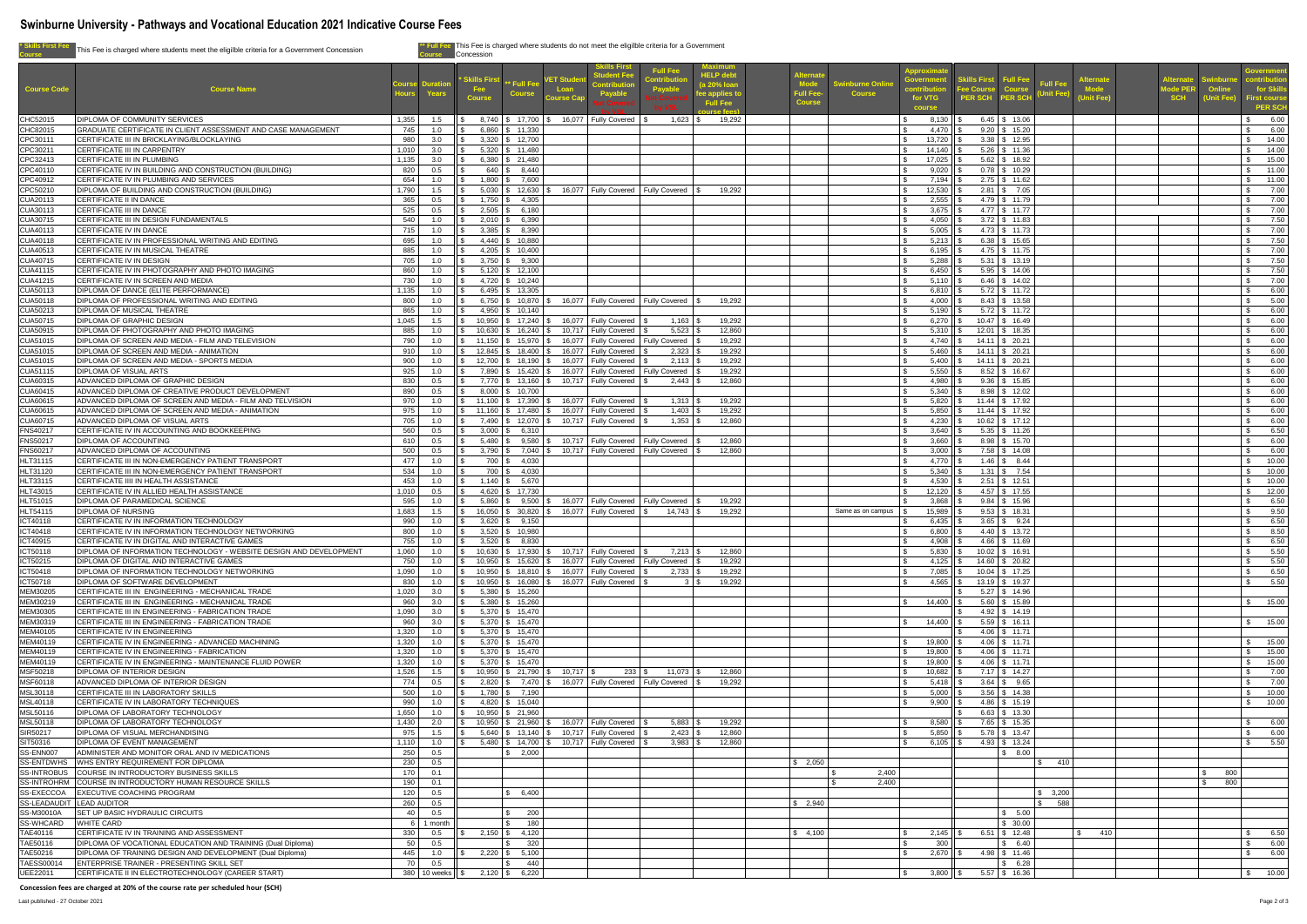| * Skills First Fee                      | This Fee is charged where students meet the eligilble criteria for a Government Concession                               |                                                 | Concession                                 | This Fee is charged where students do not meet the eligilble criteria for a Government                                                                                                |                                                                                                      |                                                                   |                                          |                                           |                                            |                                                    |                                                                                          |                                        |            |                                                           |
|-----------------------------------------|--------------------------------------------------------------------------------------------------------------------------|-------------------------------------------------|--------------------------------------------|---------------------------------------------------------------------------------------------------------------------------------------------------------------------------------------|------------------------------------------------------------------------------------------------------|-------------------------------------------------------------------|------------------------------------------|-------------------------------------------|--------------------------------------------|----------------------------------------------------|------------------------------------------------------------------------------------------|----------------------------------------|------------|-----------------------------------------------------------|
| <b>Course Code</b>                      | <b>Course Name</b>                                                                                                       | <b>Years</b>                                    | <b>Skills Firs</b><br>Fee<br><b>Course</b> | <b>Full Fee</b><br>tudent Fee<br>VET Stud<br>* Full Fee<br>Payable<br>Loan<br><b>Course</b><br>Payable<br><b>Course Cap</b>                                                           | <b>Maximum</b><br><b>HELP debt</b><br>(a 20% loan<br>ee applies t<br><b>Full Fee</b><br>ilirse fees' | <b>Iternat</b><br><b>Mode</b><br><b>Full Fee</b><br><b>Course</b> | <b>Swinburne Onling</b><br><b>Course</b> | pproximat<br>overnme<br>for VTG<br>course | kills First<br>ee Course<br><b>PER SCH</b> | <b>Full Fee</b><br><b>Course</b><br><b>PER SCH</b> | <u>lternat</u><br><b>Full Fee</b><br><b>Mode</b><br><b>Jnit Fee)</b><br><b>Jnit Fee)</b> | terna<br><b>Tode PEI</b><br><b>SCH</b> | nit Fee    | iovernment<br>for Skills<br>irst course<br><b>PER SCH</b> |
| CHC52015                                | <b>DIPLOMA OF COMMUNITY SERVICES</b>                                                                                     | 1,355<br>1.5                                    |                                            | 8,740   \$ 17,700   \$ 16,077   Fully Covered<br>$1,623$ \$                                                                                                                           | 19,292                                                                                               |                                                                   |                                          | 8,130                                     |                                            | $6.45$ \$ 13.06                                    |                                                                                          |                                        |            | 6.00                                                      |
| CHC82015<br>CPC30111                    | GRADUATE CERTIFICATE IN CLIENT ASSESSMENT AND CASE MANAGEMENT<br>CERTIFICATE III IN BRICKLAYING/BLOCKLAYING              | 745<br>1.0<br>980<br>3.0                        |                                            | $6,860$ \$ 11,330<br>$3,320$ \ \$ 12,700                                                                                                                                              |                                                                                                      |                                                                   |                                          | 4,470<br>13,720                           |                                            | $9.20$ \$ 15.20<br>$3.38$ \ \$ 12.95               |                                                                                          |                                        |            | 6.00<br>14.00                                             |
| CPC30211                                | CERTIFICATE III IN CARPENTRY                                                                                             | 1,010<br>3.0                                    |                                            | $5,320$ \ \$ 11,480                                                                                                                                                                   |                                                                                                      |                                                                   |                                          | 14,140                                    |                                            | $5.26$ \ \$ 11.36                                  |                                                                                          |                                        |            | 14.00                                                     |
| CPC32413<br>CPC40110                    | <b>CERTIFICATE III IN PLUMBING</b><br>CERTIFICATE IV IN BUILDING AND CONSTRUCTION (BUILDING)                             | 1,135<br>3.0<br>820<br>0.5                      |                                            | $6,380$ \$ 21,480<br>$640 \mid$ \$ 8,440                                                                                                                                              |                                                                                                      |                                                                   |                                          | 17,025<br>9,020                           |                                            | $5.62$ \ \$ 18.92<br>$0.78$ \$ 10.29               |                                                                                          |                                        |            | $\mathbb{S}$<br>15.00<br>11.00                            |
| CPC40912                                | CERTIFICATE IV IN PLUMBING AND SERVICES                                                                                  | 654<br>1.0                                      |                                            | $1,800$ \$ 7,600                                                                                                                                                                      |                                                                                                      |                                                                   |                                          | 7,194                                     |                                            | $2.75$ \$ 11.62                                    |                                                                                          |                                        |            | $\mathbb{S}$<br>11.00                                     |
| CPC50210<br>CUA20113                    | DIPLOMA OF BUILDING AND CONSTRUCTION (BUILDING)<br><b>CERTIFICATE II IN DANCE</b>                                        | 1,790<br>1.5<br>365<br>0.5                      |                                            | $5,030$ \ \$ 12,630 \ \$<br>16,077 Fully Covered<br><b>Fully Covered</b><br>$1,750$ \ \$ 4,305                                                                                        | 19,292                                                                                               |                                                                   |                                          | 12,530<br>2,555                           |                                            | $2.81 \mid$ \$ 7.05<br>$4.79$ \ \$ 11.79           |                                                                                          |                                        |            | 7.00<br>7.00                                              |
| CUA30113                                | <b>CERTIFICATE III IN DANCE</b>                                                                                          | 525<br>0.5                                      |                                            | $2,505$ \$ 6,180                                                                                                                                                                      |                                                                                                      |                                                                   |                                          | 3,675                                     |                                            | $4.77$ \$ 11.77                                    |                                                                                          |                                        |            | 7.00                                                      |
| CUA30715                                | CERTIFICATE III IN DESIGN FUNDAMENTALS<br><b>CERTIFICATE IV IN DANCE</b>                                                 | 540<br>1.0<br>715<br>1.0                        | $3,385$ \ \ \$                             | $2,010$ \$ 6,390<br>8,390                                                                                                                                                             |                                                                                                      |                                                                   |                                          | 4,050<br>5,005                            |                                            | $3.72$ \$ 11.83<br>$4.73$ \$ 11.73                 |                                                                                          |                                        |            | 7.50<br>7.00                                              |
| CUA40113<br><b>CUA40118</b>             | CERTIFICATE IV IN PROFESSIONAL WRITING AND EDITING                                                                       | 695<br>1.0                                      |                                            | $4,440$ \ \$ 10,880                                                                                                                                                                   |                                                                                                      |                                                                   |                                          | 5,213                                     |                                            | $6.38$ \ \$ 15.65                                  |                                                                                          |                                        |            | 7.50                                                      |
| <b>CUA40513</b>                         | CERTIFICATE IV IN MUSICAL THEATRE                                                                                        | 885<br>1.0                                      |                                            | $4,205$ \ \$ 10,400                                                                                                                                                                   |                                                                                                      |                                                                   |                                          | 6,195                                     |                                            | $4.75$ \$ 11.75                                    |                                                                                          |                                        |            | 7.00                                                      |
| CUA40715<br><b>CUA41115</b>             | <b>CERTIFICATE IV IN DESIGN</b><br>CERTIFICATE IV IN PHOTOGRAPHY AND PHOTO IMAGING                                       | 705<br>1.0<br>860<br>1.0                        |                                            | $3,750$ \$ 9,300<br>$5,120$ \ \$ 12,100                                                                                                                                               |                                                                                                      |                                                                   |                                          | 5,288<br>6,450                            |                                            | $5.31$ \ \$ 13.19<br>$5.95$ \$ 14.06               |                                                                                          |                                        |            | 7.50<br>7.50                                              |
| <b>CUA41215</b>                         | CERTIFICATE IV IN SCREEN AND MEDIA                                                                                       | 730<br>1.0                                      |                                            | $4,720$ \ \$ 10,240                                                                                                                                                                   |                                                                                                      |                                                                   |                                          | 5,110                                     |                                            | $6.46$ \ \$ 14.02                                  |                                                                                          |                                        |            | 7.00                                                      |
| CUA50113<br><b>CUA50118</b>             | DIPLOMA OF DANCE (ELITE PERFORMANCE)<br>DIPLOMA OF PROFESSIONAL WRITING AND EDITING                                      | 1,135<br>1.0<br>800<br>1.0                      |                                            | $6,495$ \ \$ 13,305<br>$6,750$ $\frac{6}{5}$ 10,870 $\frac{6}{5}$<br>16,077 Fully Covered<br><b>Fully Covered</b>                                                                     | 19,292                                                                                               |                                                                   |                                          | 6,810<br>4,000                            |                                            | $5.72$ \$ 11.72<br>$8.43$ \ \$ 13.58               |                                                                                          |                                        |            | 6.00<br>5.00                                              |
| CUA50213                                | <b>DIPLOMA OF MUSICAL THEATRE</b>                                                                                        | 865<br>1.0                                      |                                            | $4,950$ \ \$ 10,140                                                                                                                                                                   |                                                                                                      |                                                                   |                                          | 5,190                                     |                                            | $5.72$ \$ 11.72                                    |                                                                                          |                                        |            | 6.00                                                      |
| <b>CUA50715</b>                         | <b>DIPLOMA OF GRAPHIC DESIGN</b>                                                                                         | 1,045<br>1.5                                    |                                            | 16,077 Fully Covered<br>$10,950$   \$ $17,240$   \$<br>$1,163$ \$                                                                                                                     | 19,292                                                                                               |                                                                   |                                          | 6,270                                     |                                            | $10.47$ \$ 16.49                                   |                                                                                          |                                        |            | 6.00                                                      |
| <b>CUA50915</b><br><b>CUA51015</b>      | DIPLOMA OF PHOTOGRAPHY AND PHOTO IMAGING<br>DIPLOMA OF SCREEN AND MEDIA - FILM AND TELEVISION                            | 885<br>1.0<br>790<br>1.0                        | 10,630<br>11,150                           | 10,717   Fully Covered<br>$5,523$   \$<br>$\frac{1}{3}$ 16,240 \ \ \$<br>16,077 Fully Covered<br>$$15,970$ \ \ \$<br>Fully Covered                                                    | 12,860<br>19,292                                                                                     |                                                                   |                                          | 5,310<br>4,740                            |                                            | 12.01 \$ 18.35<br>$14.11$ \$ 20.21                 |                                                                                          |                                        |            | 6.00<br>6.00                                              |
| <b>CUA51015</b>                         | DIPLOMA OF SCREEN AND MEDIA - ANIMATION                                                                                  | 1.0                                             |                                            | 12,845   \$ 18,400   \$ 16,077   Fully Covered                                                                                                                                        | 19,292                                                                                               |                                                                   |                                          |                                           | $5,460$   \$ 14.11   \$ 20.21              |                                                    |                                                                                          |                                        |            | 6.00                                                      |
| <b>CUA51015</b><br><b>CUA51115</b>      | DIPLOMA OF SCREEN AND MEDIA - SPORTS MEDIA<br><b>DIPLOMA OF VISUAL ARTS</b>                                              | 900<br>925<br>1.0                               |                                            | 1.0 $\frac{1}{3}$ 12,700 $\frac{1}{3}$ 18,190 $\frac{1}{3}$ 16,077 Fully Covered $\frac{1}{3}$<br>$2,113$ \$<br>7,890   \$ 15,420   \$ 16,077   Fully Covered<br><b>Fully Covered</b> | 19,292<br>19,292                                                                                     |                                                                   |                                          | 5,550                                     | $5,400$ \$ 14.11 \$ 20.21                  | $8.52$ \ \$ 16.67                                  |                                                                                          |                                        |            | $\mathfrak{S}$<br>6.00<br>6.00                            |
| CUA60315                                | ADVANCED DIPLOMA OF GRAPHIC DESIGN                                                                                       | 830<br>0.5                                      |                                            | 7,770   \$ 13,160   \$ 10,717   Fully Covered                                                                                                                                         | 12,860                                                                                               |                                                                   |                                          | 4,980                                     |                                            | $9.36$ \$ 15.85                                    |                                                                                          |                                        |            | 6.00                                                      |
| <b>CUA60415</b>                         | ADVANCED DIPLOMA OF CREATIVE PRODUCT DEVELOPMENT                                                                         | 890<br>0.5                                      |                                            | $8,000$ $\frac{1}{3}$ 10,700                                                                                                                                                          |                                                                                                      |                                                                   |                                          | 5,340                                     |                                            | $8.98$ \ \$ 12.02                                  |                                                                                          |                                        |            | 6.00                                                      |
| <b>CUA60615</b><br><b>CUA60615</b>      | ADVANCED DIPLOMA OF SCREEN AND MEDIA - FILM AND TELVISION<br>ADVANCED DIPLOMA OF SCREEN AND MEDIA - ANIMATION            | 970<br>1.0<br>975<br>1.0                        |                                            | 16,077   Fully Covered<br>$11,100$ \ \$ 17,390<br>1,313<br>16,077 Fully Covered<br>$1,403$   \$<br>$11,160$ \$ $17,480$ \$                                                            | 19,292<br>19,292                                                                                     |                                                                   |                                          | 5,820<br>5,850                            |                                            | $11.44$ \$ 17.92<br>$11.44$ \$ 17.92               |                                                                                          |                                        |            | 6.00<br>6.00                                              |
| CUA60715                                | ADVANCED DIPLOMA OF VISUAL ARTS                                                                                          | 705<br>1.0                                      |                                            | 7,490   \$ 12,070   \$ 10,717   Fully Covered                                                                                                                                         | 12,860                                                                                               |                                                                   |                                          | 4,230                                     |                                            | $10.62$ \$ 17.12                                   |                                                                                          |                                        |            | 6.00                                                      |
| <b>FNS40217</b><br><b>FNS50217</b>      | CERTIFICATE IV IN ACCOUNTING AND BOOKKEEPING<br><b>DIPLOMA OF ACCOUNTING</b>                                             | 560<br>0.5<br>610<br>0.5                        | 3,000<br>$5,480$ \ \$                      | \$6,310<br><b>Fully Covered</b>                                                                                                                                                       | 12,860                                                                                               |                                                                   |                                          | 3,640<br>3,660                            |                                            | $5.35$ \ \$ 11.26<br>$8.98$ \ \$ 15.70             |                                                                                          |                                        |            | 6.50<br>6.00                                              |
| <b>FNS60217</b>                         | ADVANCED DIPLOMA OF ACCOUNTING                                                                                           | 500<br>0.5                                      |                                            | 3,790   \$7,040   \$10,717   Fully Covered<br>Fully Covered                                                                                                                           | 12,860                                                                                               |                                                                   |                                          | 3,000                                     |                                            | $7.58$ \ \$ 14.08                                  |                                                                                          |                                        |            | 6.00                                                      |
| HLT31115<br>HLT31120                    | CERTIFICATE III IN NON-EMERGENCY PATIENT TRANSPORT<br>CERTIFICATE III IN NON-EMERGENCY PATIENT TRANSPORT                 | 477<br>1.0<br>534<br>1.0                        |                                            | 700   \$4,030<br>700 \$ 4,030                                                                                                                                                         |                                                                                                      |                                                                   |                                          | 4,770<br>5,340                            |                                            | $1.46$ \ \$ $8.44$<br>$1.31$ \ \$ 7.54             |                                                                                          |                                        |            | 10.00<br>10.00                                            |
| HLT33115                                | CERTIFICATE IIII IN HEALTH ASSISTANCE                                                                                    | 453<br>1.0                                      |                                            | $1.140$ \ \$ 5,670                                                                                                                                                                    |                                                                                                      |                                                                   |                                          | 4,530                                     |                                            | $2.51$ \ \$ 12.51                                  |                                                                                          |                                        |            | 10.00                                                     |
| HLT43015                                | CERTIFICATE IV IN ALLIED HEALTH ASSISTANCE                                                                               | 1,010<br>0.5                                    |                                            | $4,620$ \ \$ 17,730                                                                                                                                                                   |                                                                                                      |                                                                   |                                          | 12,120                                    |                                            | $4.57$ \ \$ 17.55                                  |                                                                                          |                                        |            | 12.00                                                     |
| HLT51015<br><b>HLT54115</b>             | DIPLOMA OF PARAMEDICAL SCIENCE<br><b>DIPLOMA OF NURSING</b>                                                              | 595<br>1.0<br>1,683<br>1.5                      | 5,860                                      | 16,077   Fully Covered<br>$9,500$ $\sqrt{$}$<br><b>Fully Covered</b><br>16,050   \$ 30,820   \$ 16,077   Fully Covered<br>$14,743$ \\$                                                | 19,292<br>19,292                                                                                     |                                                                   | Same as on campus                        | 3,868<br>15,989                           |                                            | $9.84$ \ \$ 15.96<br>$9.53$ \$ 18.31               |                                                                                          |                                        |            | 6.50<br>9.50                                              |
| ICT40118                                | CERTIFICATE IV IN INFORMATION TECHNOLOGY                                                                                 | 990<br>1.0                                      | 3,620                                      | \$9,150                                                                                                                                                                               |                                                                                                      |                                                                   |                                          | 6,435                                     |                                            | $3.65$ \ \$ 9.24                                   |                                                                                          |                                        |            | 6.50                                                      |
| ICT40418<br>ICT40915                    | CERTIFICATE IV IN INFORMATION TECHNOLOGY NETWORKING<br>CERTIFICATE IV IN DIGITAL AND INTERACTIVE GAMES                   | 800<br>1.0<br>755<br>1.0                        |                                            | $3,520$ \$ 10,980<br>$3,520$ \$ 8,830                                                                                                                                                 |                                                                                                      |                                                                   |                                          | 6,800<br>4,908                            |                                            | $4.40 \mid$ \$ 13.72<br>$4.66$ \ \$ 11.69          |                                                                                          |                                        |            | 8.50<br>6.50                                              |
| ICT50118                                | DIPLOMA OF INFORMATION TECHNOLOGY - WEBSITE DESIGN AND DEVELOPMENT                                                       | 1,060<br>1.0                                    |                                            | $10,630$ $\frac{1}{3}$ $17,930$ $\frac{1}{3}$<br>10,717   Fully Covered<br>7,213                                                                                                      | 12,860                                                                                               |                                                                   |                                          | 5,830                                     |                                            | $10.02$ \$ 16.91                                   |                                                                                          |                                        |            | 5.50                                                      |
| ICT50215<br>ICT50418                    | DIPLOMA OF DIGITAL AND INTERACTIVE GAMES<br>DIPLOMA OF INFORMATION TECHNOLOGY NETWORKING                                 | 750<br>1.0<br>1,090<br>1.0                      | 10,950                                     | 16,077 Fully Covered<br>$$15,620$ \ \ \$<br><b>Fully Covered</b><br>10,950   \$ 18,810   \$ 16,077   Fully Covered<br>$2,733$ \$                                                      | 19,292<br>19,292                                                                                     |                                                                   |                                          | 4,125<br>7,085                            |                                            | 14.60 \$ 20.82<br>10.04 \$ 17.25                   |                                                                                          |                                        |            | 5.50<br>6.50                                              |
| ICT50718                                | DIPLOMA OF SOFTWARE DEVELOPMENT                                                                                          | 830<br>1.0                                      |                                            | $10.950$ $\frac{1}{3}$ $16.080$ $\frac{1}{3}$<br>16,077 Fully Covered                                                                                                                 | 19,292<br>3 I S                                                                                      |                                                                   |                                          | 4,565                                     |                                            | 13.19 \$ 19.37                                     |                                                                                          |                                        |            | 5.50                                                      |
| MEM30205                                | CERTIFICATE III IN ENGINEERING - MECHANICAL TRADE                                                                        | 1,020<br>3.0                                    |                                            | $5,380$ \ \$ 15,260                                                                                                                                                                   |                                                                                                      |                                                                   |                                          |                                           |                                            | $5.27$ \$ 14.96                                    |                                                                                          |                                        |            |                                                           |
| MEM30219<br>MEM30305                    | CERTIFICATE III IN ENGINEERING - MECHANICAL TRADE<br>CERTIFICATE III IN ENGINEERING - FABRICATION TRADE                  | 960<br>3.0<br>1,090<br>3.0                      |                                            | $5,380$ \ \$ 15,260<br>$5,370$ \$ 15,470                                                                                                                                              |                                                                                                      |                                                                   |                                          | 14,400                                    |                                            | $5.60$ \ \$ 15.89<br>$4.92$ \ \$ 14.19             |                                                                                          |                                        |            | 15.00                                                     |
| MEM30319                                | CERTIFICATE III IN ENGINEERING - FABRICATION TRADE                                                                       | 960<br>3.0                                      |                                            | $5,370$ \ \$ 15,470                                                                                                                                                                   |                                                                                                      |                                                                   |                                          | 14,400                                    |                                            | $5.59$ \$ 16.11                                    |                                                                                          |                                        |            | 15.00                                                     |
| MEM40105<br>MEM40119                    | CERTIFICATE IV IN ENGINEERING<br>CERTIFICATE IV IN ENGINEERING - ADVANCED MACHINING                                      | 1,320<br>1.0<br>1,320<br>1.0                    |                                            | $5,370$ \ \$ 15,470<br>$5,370$ \ \$ 15,470                                                                                                                                            |                                                                                                      |                                                                   |                                          | 19,800                                    |                                            | $4.06$ \ \$ 11.71<br>$4.06$ \ \$ 11.71             |                                                                                          |                                        |            | 15.00                                                     |
| MEM40119                                | CERTIFICATE IV IN ENGINEERING - FABRICATION                                                                              | 1,320<br>1.0                                    |                                            | $5,370$ \$ 15,470                                                                                                                                                                     |                                                                                                      |                                                                   |                                          | 19,800                                    |                                            | $4.06$ \ \$ 11.71                                  |                                                                                          |                                        |            | 15.00                                                     |
| MEM40119                                | CERTIFICATE IV IN ENGINEERING - MAINTENANCE FLUID POWER<br>DIPLOMA OF INTERIOR DESIGN                                    | 1,320<br>1.0<br>1,526                           |                                            | $5,370$ \ \$ 15,470<br>$11,073$ \$<br>$10,950$ $\frac{1}{9}$ 21,790 $\frac{1}{9}$ 10,717 $\frac{1}{9}$<br>$233$ \$                                                                    | 12,860                                                                                               |                                                                   |                                          | 19,800<br>10,682                          |                                            | $4.06$ \$ 11.71<br>$7.17$ \$ 14.27                 |                                                                                          |                                        |            | 15.00<br>7.00                                             |
| MSF50218<br>MSF60118                    | ADVANCED DIPLOMA OF INTERIOR DESIGN                                                                                      | 1.5<br>774<br>0.5                               | $\mathsf{H}$ $\mathsf{C}$                  | 2,820   \$ 7,470   \$ 16,077   Fully Covered   Fully Covered   \$                                                                                                                     | 19,292                                                                                               |                                                                   |                                          | $5,418$ \$                                |                                            | $3.64$ \ \$ $9.65$                                 |                                                                                          |                                        |            | $\sqrt{3}$<br>7.00                                        |
| MSL30118                                | CERTIFICATE III IN LABORATORY SKILLS                                                                                     | 500<br>$-1.0$                                   |                                            | $1,780$ \$ 7,190                                                                                                                                                                      |                                                                                                      |                                                                   |                                          | 5,000                                     |                                            | $3.56$ \ \$ 14.38                                  |                                                                                          |                                        |            | $\mathbb{S}$<br>10.00                                     |
| MSL40118<br>MSL50116                    | CERTIFICATE IV IN LABORATORY TECHNIQUES<br><b>DIPLOMA OF LABORATORY TECHNOLOGY</b>                                       | 990<br>1.0<br>1,650<br>1.0                      |                                            | 4,820 \$ 15,040<br>$10,950$ \$ 21,960                                                                                                                                                 |                                                                                                      |                                                                   |                                          | 9,900                                     |                                            | 4.86 \$15.19<br>$6.63$ \$ 13.30                    |                                                                                          |                                        |            | \$ 10.00                                                  |
| MSL50118                                | <b>DIPLOMA OF LABORATORY TECHNOLOGY</b>                                                                                  | 1,430<br>2.0                                    |                                            | $10,950$ \ \$ 21,960 \ \$<br>16,077 Fully Covered<br>5,883                                                                                                                            | 19,292                                                                                               |                                                                   |                                          | 8,580                                     |                                            | 7.65 \$ 15.35                                      |                                                                                          |                                        |            | 6.00                                                      |
| SIR50217                                | <b>DIPLOMA OF VISUAL MERCHANDISING</b><br><b>DIPLOMA OF EVENT MANAGEMENT</b>                                             | 975<br>1.5<br>1,110                             |                                            | 5,640   \$ 13,140   \$ 10,717   Fully Covered<br>2,423<br>5,480   \$ 14,700   \$ 10,717   Fully Covered<br>$3,983$ \$                                                                 | 12,860<br>12,860                                                                                     |                                                                   |                                          | 5,850<br>6,105 $\parallel$ \$             |                                            | $5.78$ \$ 13.47<br>4.93 \$ 13.24                   |                                                                                          |                                        |            | 6.00<br>5.50                                              |
| SIT50316<br>SS-ENN007                   | ADMINISTER AND MONITOR ORAL AND IV MEDICATIONS                                                                           | 1.0<br>250<br>0.5                               |                                            | \$ 2,000                                                                                                                                                                              |                                                                                                      |                                                                   |                                          |                                           |                                            | \$8.00                                             |                                                                                          |                                        |            |                                                           |
| <b>SS-ENTDWHS</b>                       | <b>WHS ENTRY REQUIREMENT FOR DIPLOMA</b>                                                                                 | 230<br>0.5                                      |                                            |                                                                                                                                                                                       |                                                                                                      | \$ 2,050                                                          |                                          |                                           |                                            |                                                    | 410<br><b>\$</b>                                                                         |                                        |            |                                                           |
| <b>SS-INTROBUS</b>                      | COURSE IN INTRODUCTORY BUSINESS SKILLS<br>SS-INTROHRM COURSE IN INTRODUCTORY HUMAN RESOURCE SKILLS                       | 170<br>0.1<br>190<br>0.1                        |                                            |                                                                                                                                                                                       |                                                                                                      |                                                                   | 2,400<br>2,400                           |                                           |                                            |                                                    |                                                                                          |                                        | 800<br>800 |                                                           |
| SS-EXECCOA                              | <b>EXECUTIVE COACHING PROGRAM</b>                                                                                        | 120<br>0.5                                      |                                            | 6,400                                                                                                                                                                                 |                                                                                                      |                                                                   |                                          |                                           |                                            |                                                    | \$3,200                                                                                  |                                        |            |                                                           |
| SS-LEADAUDIT LEAD AUDITOR<br>SS-M30010A | <b>SET UP BASIC HYDRAULIC CIRCUITS</b>                                                                                   | 260<br>0.5<br>40<br>0.5                         |                                            | 200                                                                                                                                                                                   |                                                                                                      | \$2,940                                                           |                                          |                                           |                                            | \$5.00                                             | 588                                                                                      |                                        |            |                                                           |
| <b>SS-WHCARD</b>                        | <b>WHITE CARD</b>                                                                                                        | 6 1 month                                       |                                            | 180                                                                                                                                                                                   |                                                                                                      |                                                                   |                                          |                                           |                                            | \$30.00                                            |                                                                                          |                                        |            |                                                           |
| TAE40116                                | CERTIFICATE IV IN TRAINING AND ASSESSMENT                                                                                | 330<br>0.5                                      |                                            | $2,150$ \$ 4,120                                                                                                                                                                      |                                                                                                      | \$4,100                                                           |                                          | 2,145                                     |                                            | $6.51$ \ \$ 12.48                                  | 410                                                                                      |                                        |            | 6.50                                                      |
| TAE50116<br>TAE50216                    | DIPLOMA OF VOCATIONAL EDUCATION AND TRAINING (Dual Diploma)<br>DIPLOMA OF TRAINING DESIGN AND DEVELOPMENT (Dual Diploma) | 50 <sup>1</sup><br>0.5<br>445<br>1.0            |                                            | 320<br>$2,220$ \$ 5,100                                                                                                                                                               |                                                                                                      |                                                                   |                                          | 300<br>2,670                              |                                            | \$6.40<br>$4.98$ \ \$ 11.46                        |                                                                                          |                                        |            | 6.00<br>6.00                                              |
| TAESS00014                              | ENTERPRISE TRAINER - PRESENTING SKILL SET                                                                                | 70 l<br>0.5                                     |                                            | 440                                                                                                                                                                                   |                                                                                                      |                                                                   |                                          |                                           |                                            | \$6.28                                             |                                                                                          |                                        |            |                                                           |
| UEE22011                                | CERTIFICATE II IN ELECTROTECHNOLOGY (CAREER START)                                                                       | 380   10 weeks   $\frac{1}{3}$ 2,120   \$ 6,220 |                                            |                                                                                                                                                                                       |                                                                                                      |                                                                   |                                          | $3,800$   \$                              |                                            | $5.57$ \$ 16.36                                    |                                                                                          |                                        |            | \$ 10.00                                                  |

**Concession fees are charged at 20% of the course rate per scheduled hour (SCH)**



# **Swinburne University - Pathways and Vocational Education 2021 Indicative Course Fees**